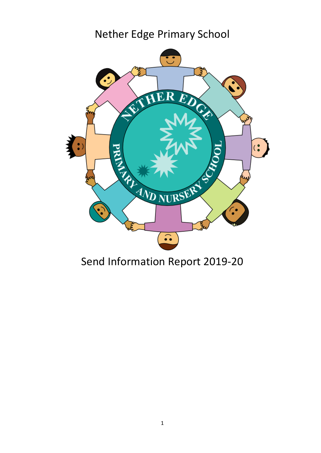# Nether Edge Primary School



# Send Information Report 2019-20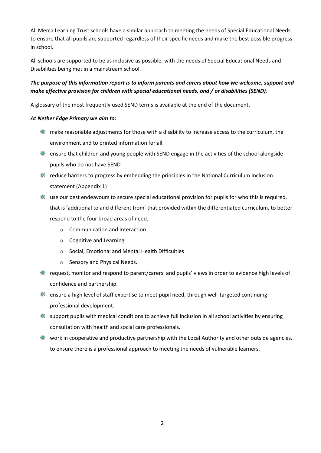All Merca Learning Trust schools have a similar approach to meeting the needs of Special Educational Needs, to ensure that all pupils are supported regardless of their specific needs and make the best possible progress in school.

All schools are supported to be as inclusive as possible, with the needs of Special Educational Needs and Disabilities being met in a mainstream school.

# *The purpose of this information report is to inform parents and carers about how we welcome, support and make effective provision for children with special educational needs, and / or disabilities (SEND).*

A glossary of the most frequently used SEND terms is available at the end of the document.

## *At Nether Edge Primary we aim to:*

- $\bullet$  make reasonable adjustments for those with a disability to increase access to the curriculum, the environment and to printed information for all.
- **EXECUTE:** ensure that children and young people with SEND engage in the activities of the school alongside pupils who do not have SEND
- **EXECUTE:** reduce barriers to progress by embedding the principles in the National Curriculum Inclusion statement (Appendix 1)
- $\ddot{\Phi}$  use our best endeavours to secure special educational provision for pupils for who this is required, that is 'additional to and different from' that provided within the differentiated curriculum, to better respond to the four broad areas of need.
	- o Communication and Interaction
	- o Cognitive and Learning
	- o Social, Emotional and Mental Health Difficulties
	- o Sensory and Physical Needs.
- **®** request, monitor and respond to parent/carers' and pupils' views in order to evidence high levels of confidence and partnership.
- $*$  ensure a high level of staff expertise to meet pupil need, through well-targeted continuing professional development.
- $\bullet$  support pupils with medical conditions to achieve full inclusion in all school activities by ensuring consultation with health and social care professionals.
- work in cooperative and productive partnership with the Local Authority and other outside agencies, to ensure there is a professional approach to meeting the needs of vulnerable learners.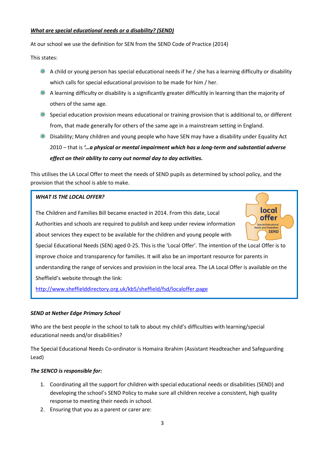#### *What are special educational needs or a disability? (SEND)*

At our school we use the definition for SEN from the SEND Code of Practice (2014)

This states:

- A child or young person has special educational needs if he / she has a learning difficulty or disability which calls for special educational provision to be made for him / her.
- A learning difficulty or disability is a significantly greater difficultly in learning than the majority of others of the same age.
- Special education provision means educational or training provision that is additional to, or different from, that made generally for others of the same age in a mainstream setting in England.
- Disability; Many children and young people who have SEN may have a disability under Equality Act 2010 – that is *'…a physical or mental impairment which has a long-term and substantial adverse effect on their ability to carry out normal day to day activities.*

This utilises the LA Local Offer to meet the needs of SEND pupils as determined by school policy, and the provision that the school is able to make.

## *WHAT IS THE LOCAL OFFER?*

The Children and Families Bill became enacted in 2014. From this date, Local Authorities and schools are required to publish and keep under review information about services they expect to be available for the children and young people with

Special Educational Needs (SEN) aged 0-25. This is the 'Local Offer'. The intention of the Local Offer is to improve choice and transparency for families. It will also be an important resource for parents in understanding the range of services and provision in the local area. The LA Local Offer is available on the Sheffield's website through the link:

local offer **Special Educational SEND** 

<http://www.sheffielddirectory.org.uk/kb5/sheffield/fsd/localoffer.page>

#### *SEND at Nether Edge Primary School*

Who are the best people in the school to talk to about my child's difficulties with learning/special educational needs and/or disabilities?

The Special Educational Needs Co-ordinator is Homaira Ibrahim (Assistant Headteacher and Safeguarding Lead)

#### *The SENCO is responsible for:*

- 1. Coordinating all the support for children with special educational needs or disabilities (SEND) and developing the school's SEND Policy to make sure all children receive a consistent, high quality response to meeting their needs in school.
- 2. Ensuring that you as a parent or carer are: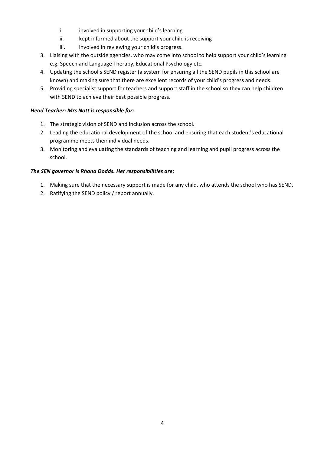- i. involved in supporting your child's learning.
- ii. kept informed about the support your child is receiving
- iii. involved in reviewing your child's progress.
- 3. Liaising with the outside agencies, who may come into school to help support your child's learning e.g. Speech and Language Therapy, Educational Psychology etc.
- 4. Updating the school's SEND register (a system for ensuring all the SEND pupils in this school are known) and making sure that there are excellent records of your child's progress and needs.
- 5. Providing specialist support for teachers and support staff in the school so they can help children with SEND to achieve their best possible progress.

## *Head Teacher: Mrs Nott is responsible for:*

- 1. The strategic vision of SEND and inclusion across the school.
- 2. Leading the educational development of the school and ensuring that each student's educational programme meets their individual needs.
- 3. Monitoring and evaluating the standards of teaching and learning and pupil progress across the school.

## *The SEN governor is Rhona Dodds. Her responsibilities are:*

- 1. Making sure that the necessary support is made for any child, who attends the school who has SEND.
- 2. Ratifying the SEND policy / report annually.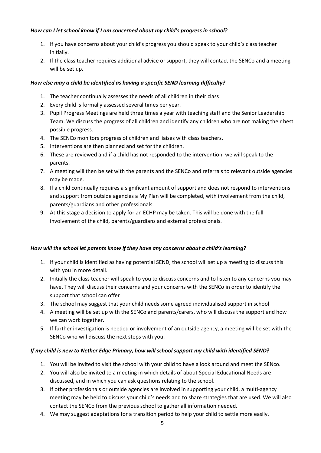## *How can I let school know if I am concerned about my child's progress in school?*

- 1. If you have concerns about your child's progress you should speak to your child's class teacher initially.
- 2. If the class teacher requires additional advice or support, they will contact the SENCo and a meeting will be set up.

## *How else may a child be identified as having a specific SEND learning difficulty?*

- 1. The teacher continually assesses the needs of all children in their class
- 2. Every child is formally assessed several times per year.
- 3. Pupil Progress Meetings are held three times a year with teaching staff and the Senior Leadership Team. We discuss the progress of all children and identify any children who are not making their best possible progress.
- 4. The SENCo monitors progress of children and liaises with class teachers.
- 5. Interventions are then planned and set for the children.
- 6. These are reviewed and if a child has not responded to the intervention, we will speak to the parents.
- 7. A meeting will then be set with the parents and the SENCo and referrals to relevant outside agencies may be made.
- 8. If a child continually requires a significant amount of support and does not respond to interventions and support from outside agencies a My Plan will be completed, with involvement from the child, parents/guardians and other professionals.
- 9. At this stage a decision to apply for an ECHP may be taken. This will be done with the full involvement of the child, parents/guardians and external professionals.

## *How will the school let parents know if they have any concerns about a child's learning?*

- 1. If your child is identified as having potential SEND, the school will set up a meeting to discuss this with you in more detail.
- 2. Initially the class teacher will speak to you to discuss concerns and to listen to any concerns you may have. They will discuss their concerns and your concerns with the SENCo in order to identify the support that school can offer
- 3. The school may suggest that your child needs some agreed individualised support in school
- 4. A meeting will be set up with the SENCo and parents/carers, who will discuss the support and how we can work together.
- 5. If further investigation is needed or involvement of an outside agency, a meeting will be set with the SENCo who will discuss the next steps with you.

# *If my child is new to Nether Edge Primary, how will school support my child with identified SEND?*

- 1. You will be invited to visit the school with your child to have a look around and meet the SENco.
- 2. You will also be invited to a meeting in which details of about Special Educational Needs are discussed, and in which you can ask questions relating to the school.
- 3. If other professionals or outside agencies are involved in supporting your child, a multi-agency meeting may be held to discuss your child's needs and to share strategies that are used. We will also contact the SENCo from the previous school to gather all information needed.
- 4. We may suggest adaptations for a transition period to help your child to settle more easily.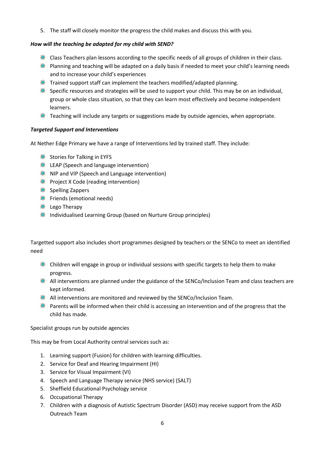5. The staff will closely monitor the progress the child makes and discuss this with you.

## *How will the teaching be adapted for my child with SEND?*

- $\bullet$  Class Teachers plan lessons according to the specific needs of all groups of children in their class.
- **Planning and teaching will be adapted on a daily basis if needed to meet your child's learning needs** and to increase your child's experiences
- $\bullet$  Trained support staff can implement the teachers modified/adapted planning.
- Specific resources and strategies will be used to support your child. This may be on an individual, group or whole class situation, so that they can learn most effectively and become independent learners.
- $*$  Teaching will include any targets or suggestions made by outside agencies, when appropriate.

## *Targeted Support and Interventions*

At Nether Edge Primary we have a range of Interventions led by trained staff. They include:

- Stories for Talking in EYFS
- LEAP (Speech and language intervention)
- **NIP and VIP (Speech and Language intervention)**
- **Project X Code (reading intervention)**
- **参** Spelling Zappers
- Friends (emotional needs)
- **Example 2** Lego Therapy
- **EXECUTE:** Individualised Learning Group (based on Nurture Group principles)

Targetted support also includes short programmes designed by teachers or the SENCo to meet an identified need

- $\ddot{\mathbf{\Phi}}$  Children will engage in group or individual sessions with specific targets to help them to make progress.
- **All interventions are planned under the guidance of the SENCo/Inclusion Team and class teachers are** kept informed.
- All interventions are monitored and reviewed by the SENCo/Inclusion Team.
- **Parents will be informed when their child is accessing an intervention and of the progress that the** child has made.

Specialist groups run by outside agencies

This may be from Local Authority central services such as:

- 1. Learning support (Fusion) for children with learning difficulties.
- 2. Service for Deaf and Hearing Impairment (HI)
- 3. Service for Visual Impairment (VI)
- 4. Speech and Language Therapy service (NHS service) (SALT)
- 5. Sheffield Educational Psychology service
- 6. Occupational Therapy
- 7. Children with a diagnosis of Autistic Spectrum Disorder (ASD) may receive support from the ASD Outreach Team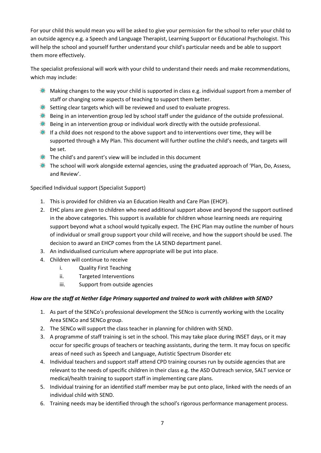For your child this would mean you will be asked to give your permission for the school to refer your child to an outside agency e.g. a Speech and Language Therapist, Learning Support or Educational Psychologist. This will help the school and yourself further understand your child's particular needs and be able to support them more effectively.

The specialist professional will work with your child to understand their needs and make recommendations, which may include:

- **Making changes to the way your child is supported in class e.g. individual support from a member of** staff or changing some aspects of teaching to support them better.
- Setting clear targets which will be reviewed and used to evaluate progress.
- Being in an intervention group led by school staff under the guidance of the outside professional.
- **Being in an intervention group or individual work directly with the outside professional.**
- If a child does not respond to the above support and to interventions over time, they will be supported through a My Plan. This document will further outline the child's needs, and targets will be set.
- $\bullet$  The child's and parent's view will be included in this document
- $\ddot{\mathbf{\circ}}$  The school will work alongside external agencies, using the graduated approach of 'Plan, Do, Assess, and Review'.

# Specified Individual support (Specialist Support)

- 1. This is provided for children via an Education Health and Care Plan (EHCP).
- 2. EHC plans are given to children who need additional support above and beyond the support outlined in the above categories. This support is available for children whose learning needs are requiring support beyond what a school would typically expect. The EHC Plan may outline the number of hours of individual or small group support your child will receive, and how the support should be used. The decision to award an EHCP comes from the LA SEND department panel.
- 3. An individualised curriculum where appropriate will be put into place.
- 4. Children will continue to receive
	- i. Quality First Teaching
	- ii. Targeted Interventions
	- iii. Support from outside agencies

# *How are the staff at Nether Edge Primary supported and trained to work with children with SEND?*

- 1. As part of the SENCo's professional development the SENco is currently working with the Locality Area SENCo and SENCo group.
- 2. The SENCo will support the class teacher in planning for children with SEND.
- 3. A programme of staff training is set in the school. This may take place during INSET days, or it may occur for specific groups of teachers or teaching assistants, during the term. It may focus on specific areas of need such as Speech and Language, Autistic Spectrum Disorder etc
- 4. Individual teachers and support staff attend CPD training courses run by outside agencies that are relevant to the needs of specific children in their class e.g. the ASD Outreach service, SALT service or medical/health training to support staff in implementing care plans.
- 5. Individual training for an identified staff member may be put onto place, linked with the needs of an individual child with SEND.
- 6. Training needs may be identified through the school's rigorous performance management process.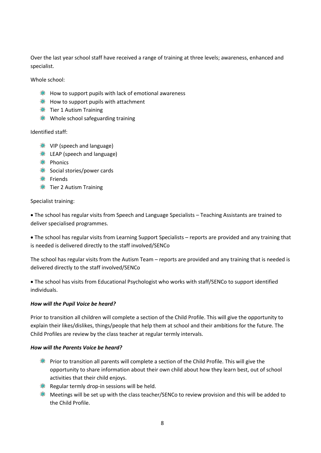Over the last year school staff have received a range of training at three levels; awareness, enhanced and specialist.

Whole school:

- **EXECUTE:** How to support pupils with lack of emotional awareness
- **How to support pupils with attachment**
- **※ Tier 1 Autism Training**
- Whole school safeguarding training

## Identified staff:

- **SEMING VIP (speech and language)**
- **EXECUTE:** LEAP (speech and language)
- **参** Phonics
- Social stories/power cards
- **●** Friends
- **※ Tier 2 Autism Training**

## Specialist training:

 The school has regular visits from Speech and Language Specialists – Teaching Assistants are trained to deliver specialised programmes.

 The school has regular visits from Learning Support Specialists – reports are provided and any training that is needed is delivered directly to the staff involved/SENCo

The school has regular visits from the Autism Team – reports are provided and any training that is needed is delivered directly to the staff involved/SENCo

 The school has visits from Educational Psychologist who works with staff/SENCo to support identified individuals.

## *How will the Pupil Voice be heard?*

Prior to transition all children will complete a section of the Child Profile. This will give the opportunity to explain their likes/dislikes, things/people that help them at school and their ambitions for the future. The Child Profiles are review by the class teacher at regular termly intervals.

## *How will the Parents Voice be heard?*

- Prior to transition all parents will complete a section of the Child Profile. This will give the opportunity to share information about their own child about how they learn best, out of school activities that their child enjoys.
- Regular termly drop-in sessions will be held.
- Meetings will be set up with the class teacher/SENCo to review provision and this will be added to the Child Profile.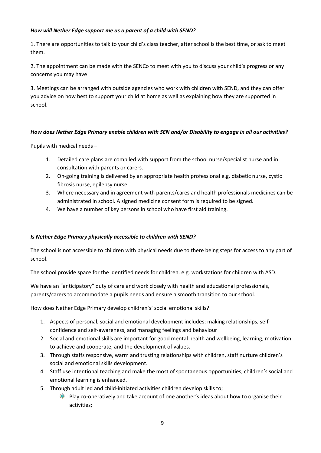## *How will Nether Edge support me as a parent of a child with SEND?*

1. There are opportunities to talk to your child's class teacher, after school is the best time, or ask to meet them.

2. The appointment can be made with the SENCo to meet with you to discuss your child's progress or any concerns you may have

3. Meetings can be arranged with outside agencies who work with children with SEND, and they can offer you advice on how best to support your child at home as well as explaining how they are supported in school.

## *How does Nether Edge Primary enable children with SEN and/or Disability to engage in all our activities?*

Pupils with medical needs –

- 1. Detailed care plans are compiled with support from the school nurse/specialist nurse and in consultation with parents or carers.
- 2. On-going training is delivered by an appropriate health professional e.g. diabetic nurse, cystic fibrosis nurse, epilepsy nurse.
- 3. Where necessary and in agreement with parents/cares and health professionals medicines can be administrated in school. A signed medicine consent form is required to be signed.
- 4. We have a number of key persons in school who have first aid training.

# *Is Nether Edge Primary physically accessible to children with SEND?*

The school is not accessible to children with physical needs due to there being steps for access to any part of school.

The school provide space for the identified needs for children. e.g. workstations for children with ASD.

We have an "anticipatory" duty of care and work closely with health and educational professionals, parents/carers to accommodate a pupils needs and ensure a smooth transition to our school.

How does Nether Edge Primary develop children's' social emotional skills?

- 1. Aspects of personal, social and emotional development includes; making relationships, selfconfidence and self-awareness, and managing feelings and behaviour
- 2. Social and emotional skills are important for good mental health and wellbeing, learning, motivation to achieve and cooperate, and the development of values.
- 3. Through staffs responsive, warm and trusting relationships with children, staff nurture children's social and emotional skills development.
- 4. Staff use intentional teaching and make the most of spontaneous opportunities, children's social and emotional learning is enhanced.
- 5. Through adult led and child-initiated activities children develop skills to;
	- **Play co-operatively and take account of one another's ideas about how to organise their** activities;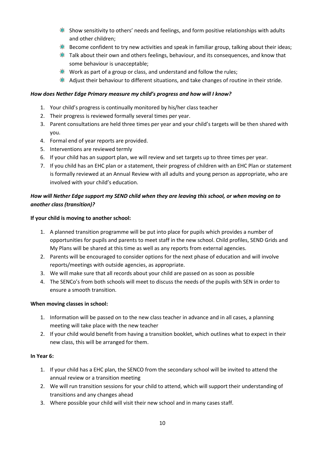- Show sensitivity to others' needs and feelings, and form positive relationships with adults and other children;
- **Become confident to try new activities and speak in familiar group, talking about their ideas;**
- $\ddot{\mathbf{\Phi}}$  Talk about their own and others feelings, behaviour, and its consequences, and know that some behaviour is unacceptable;
- **Work as part of a group or class, and understand and follow the rules;**
- Adjust their behaviour to different situations, and take changes of routine in their stride.

## *How does Nether Edge Primary measure my child's progress and how will I know?*

- 1. Your child's progress is continually monitored by his/her class teacher
- 2. Their progress is reviewed formally several times per year.
- 3. Parent consultations are held three times per year and your child's targets will be then shared with you.
- 4. Formal end of year reports are provided.
- 5. Interventions are reviewed termly
- 6. If your child has an support plan, we will review and set targets up to three times per year.
- 7. If you child has an EHC plan or a statement, their progress of children with an EHC Plan or statement is formally reviewed at an Annual Review with all adults and young person as appropriate, who are involved with your child's education.

# *How will Nether Edge support my SEND child when they are leaving this school, or when moving on to another class (transition)?*

## **If your child is moving to another school:**

- 1. A planned transition programme will be put into place for pupils which provides a number of opportunities for pupils and parents to meet staff in the new school. Child profiles, SEND Grids and My Plans will be shared at this time as well as any reports from external agencies.
- 2. Parents will be encouraged to consider options for the next phase of education and will involve reports/meetings with outside agencies, as appropriate.
- 3. We will make sure that all records about your child are passed on as soon as possible
- 4. The SENCo's from both schools will meet to discuss the needs of the pupils with SEN in order to ensure a smooth transition.

## **When moving classes in school:**

- 1. Information will be passed on to the new class teacher in advance and in all cases, a planning meeting will take place with the new teacher
- 2. If your child would benefit from having a transition booklet, which outlines what to expect in their new class, this will be arranged for them.

## **In Year 6:**

- 1. If your child has a EHC plan, the SENCO from the secondary school will be invited to attend the annual review or a transition meeting
- 2. We will run transition sessions for your child to attend, which will support their understanding of transitions and any changes ahead
- 3. Where possible your child will visit their new school and in many cases staff.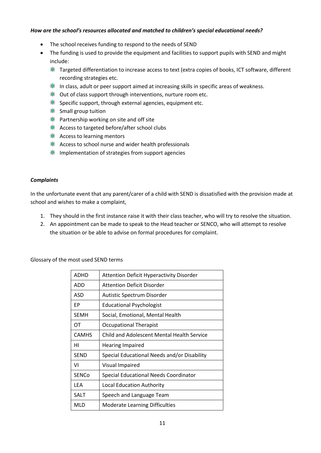#### *How are the school's resources allocated and matched to children's special educational needs?*

- The school receives funding to respond to the needs of SEND
- The funding is used to provide the equipment and facilities to support pupils with SEND and might include:
	- Targeted differentiation to increase access to text (extra copies of books, ICT software, different recording strategies etc.
	- In class, adult or peer support aimed at increasing skills in specific areas of weakness.
	- $\bullet$  Out of class support through interventions, nurture room etc.
	- **Specific support, through external agencies, equipment etc.**
	- Small group tuition
	- **Partnership working on site and off site**
	- **Access to targeted before/after school clubs**
	- **※ Access to learning mentors**
	- Access to school nurse and wider health professionals
	- **Implementation of strategies from support agencies**

#### *Complaints*

In the unfortunate event that any parent/carer of a child with SEND is dissatisfied with the provision made at school and wishes to make a complaint,

- 1. They should in the first instance raise it with their class teacher, who will try to resolve the situation.
- 2. An appointment can be made to speak to the Head teacher or SENCO, who will attempt to resolve the situation or be able to advise on formal procedures for complaint.

Glossary of the most used SEND terms

| <b>ADHD</b>  | <b>Attention Deficit Hyperactivity Disorder</b> |
|--------------|-------------------------------------------------|
| ADD          | <b>Attention Deficit Disorder</b>               |
| ASD          | Autistic Spectrum Disorder                      |
| FР           | <b>Educational Psychologist</b>                 |
| <b>SEMH</b>  | Social, Emotional, Mental Health                |
| OT           | <b>Occupational Therapist</b>                   |
| <b>CAMHS</b> | Child and Adolescent Mental Health Service      |
|              |                                                 |
| нι           | Hearing Impaired                                |
| <b>SEND</b>  | Special Educational Needs and/or Disability     |
| ٧I           | Visual Impaired                                 |
| <b>SENCo</b> | Special Educational Needs Coordinator           |
| LEA          | Local Education Authority                       |
| SALT         | Speech and Language Team                        |